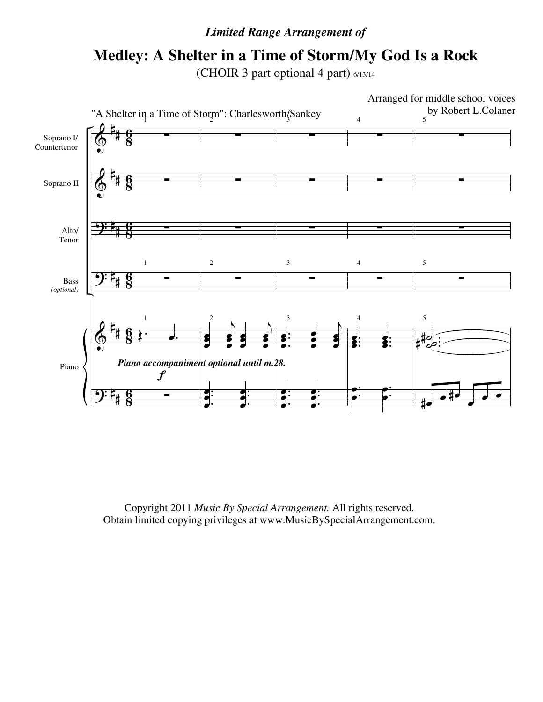## *Limited Range Arrangement of*

## **Medley: A Shelter in a Time of Storm/My God Is a Rock**

(CHOIR 3 part optional 4 part) 6/13/14



Copyright 2011 *Music By Special Arrangement.* All rights reserved. Obtain limited copying privileges at www.MusicBySpecialArrangement.com.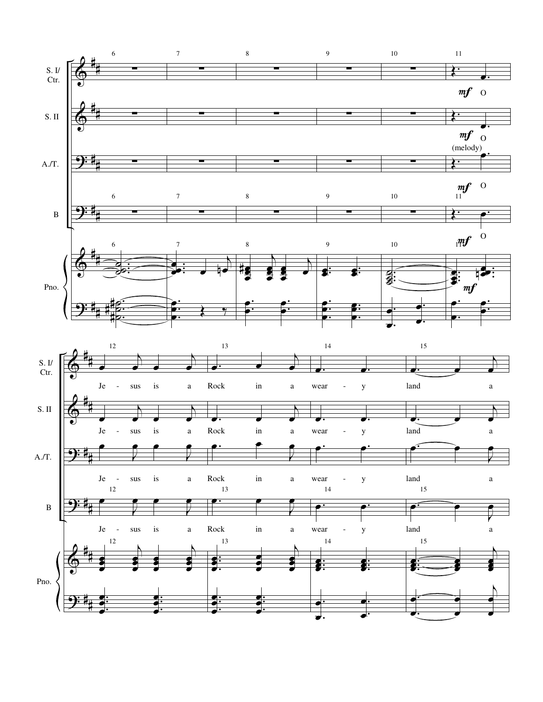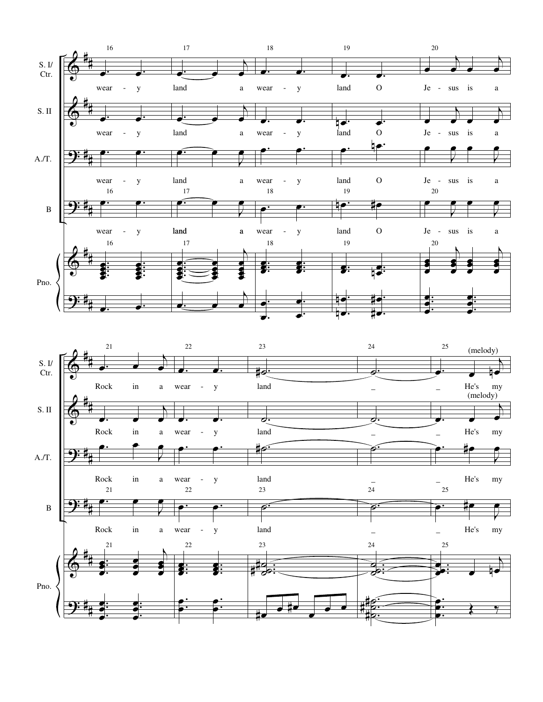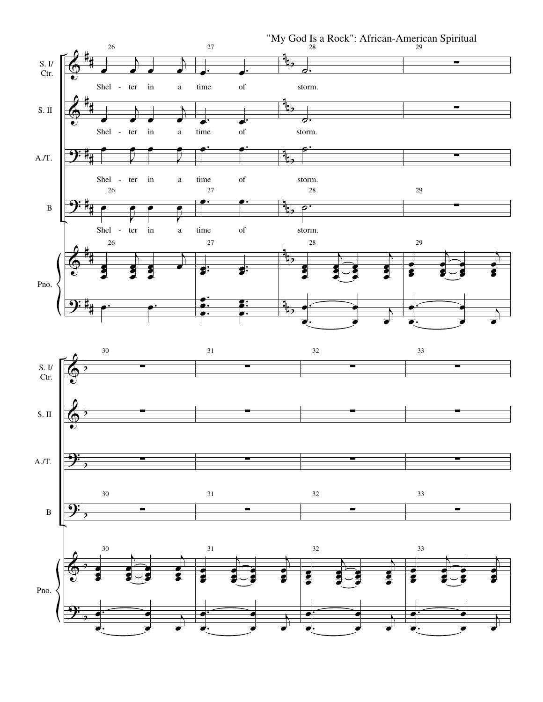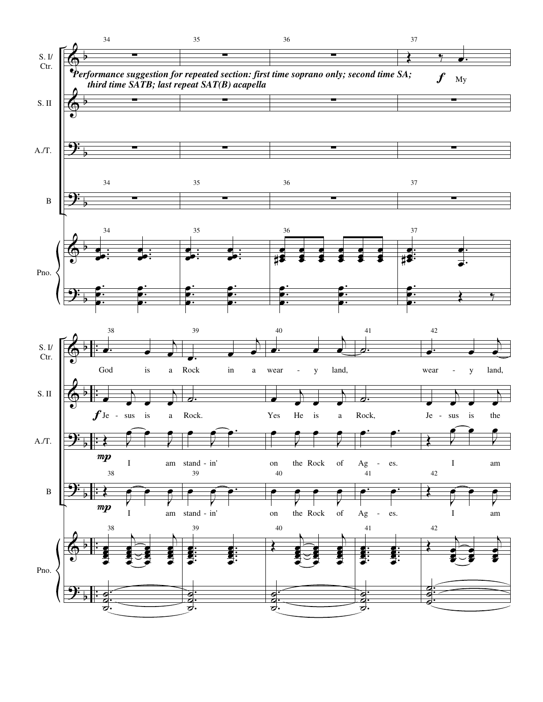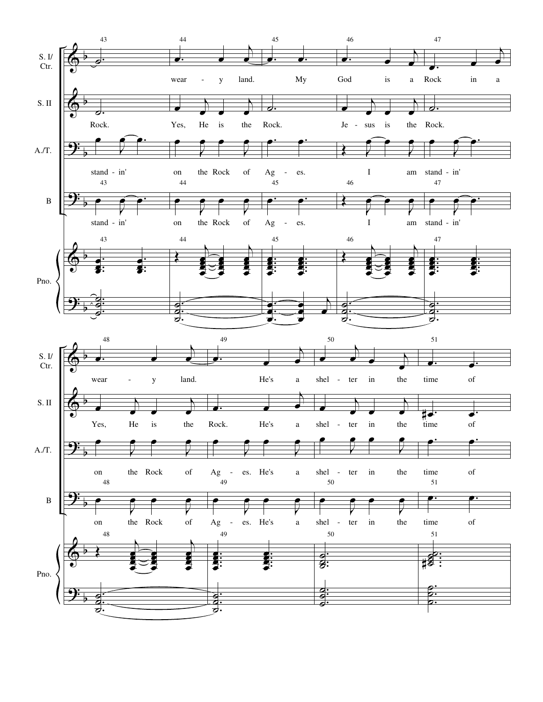